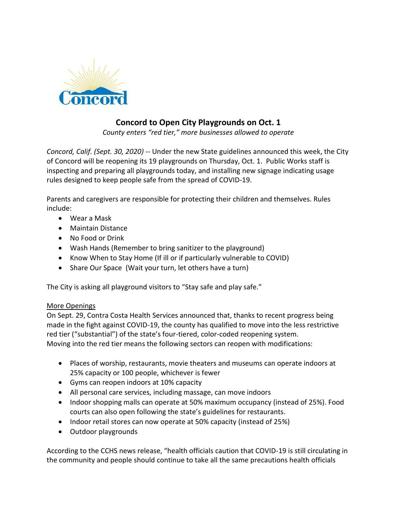

## **Concord to Open City Playgrounds on Oct. 1**

*County enters "red tier," more businesses allowed to operate*

*Concord, Calif. (Sept. 30, 2020)* -- Under the new State guidelines announced this week, the City of Concord will be reopening its 19 playgrounds on Thursday, Oct. 1. Public Works staff is inspecting and preparing all playgrounds today, and installing new signage indicating usage rules designed to keep people safe from the spread of COVID-19.

Parents and caregivers are responsible for protecting their children and themselves. Rules include:

- Wear a Mask
- Maintain Distance
- No Food or Drink
- Wash Hands (Remember to bring sanitizer to the playground)
- Know When to Stay Home (If ill or if particularly vulnerable to COVID)
- Share Our Space (Wait your turn, let others have a turn)

The City is asking all playground visitors to "Stay safe and play safe."

## More Openings

On Sept. 29, Contra Costa Health Services announced that, thanks to recent progress being made in the fight against COVID-19, the county has qualified to move into the less restrictive red tier ("substantial") of the state's four-tiered, color-coded reopening system. Moving into the red tier means the following sectors can reopen with modifications:

- Places of worship, restaurants, movie theaters and museums can operate indoors at 25% capacity or 100 people, whichever is fewer
- Gyms can reopen indoors at 10% capacity
- All personal care services, including massage, can move indoors
- Indoor shopping malls can operate at 50% maximum occupancy (instead of 25%). Food courts can also open following the state's guidelines for restaurants.
- Indoor retail stores can now operate at 50% capacity (instead of 25%)
- Outdoor playgrounds

According to the CCHS news release, "health officials caution that COVID-19 is still circulating in the community and people should continue to take all the same precautions health officials